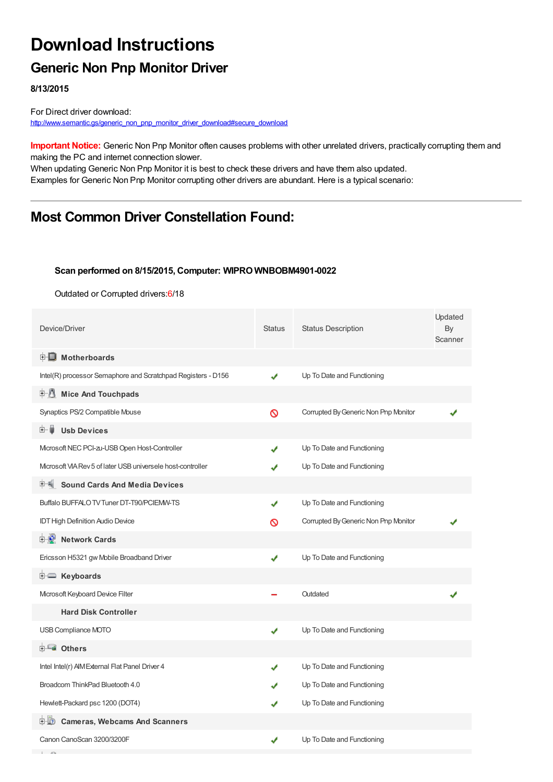# **Download Instructions**

## **Generic Non Pnp Monitor Driver**

**8/13/2015**

For Direct driver download: [http://www.semantic.gs/generic\\_non\\_pnp\\_monitor\\_driver\\_download#secure\\_download](http://www.semantic.gs/generic_non_pnp_monitor_driver_download#secure_download)

**Important Notice:** Generic Non Pnp Monitor often causes problems with other unrelated drivers, practically corrupting them and making the PC and internet connection slower.

When updating Generic Non Pnp Monitor it is best to check these drivers and have them also updated. Examples for Generic Non Pnp Monitor corrupting other drivers are abundant. Here is a typical scenario:

### **Most Common Driver Constellation Found:**

#### **Scan performed on 8/15/2015, Computer: WIPRO WNBOBM4901-0022**

Outdated or Corrupted drivers:6/18

| Device/Driver                                                | <b>Status</b> | <b>Status Description</b>            | Updated<br>By<br>Scanner |
|--------------------------------------------------------------|---------------|--------------------------------------|--------------------------|
| <b>E</b> Motherboards                                        |               |                                      |                          |
| Intel(R) processor Semaphore and Scratchpad Registers - D156 | ✔             | Up To Date and Functioning           |                          |
| <b>Mice And Touchpads</b><br>E-11                            |               |                                      |                          |
| Synaptics PS/2 Compatible Mouse                              | Ø             | Corrupted By Generic Non Pnp Monitor |                          |
| <b>Usb Devices</b><br>⊞…■                                    |               |                                      |                          |
| Microsoft NEC PCI-zu-USB Open Host-Controller                |               | Up To Date and Functioning           |                          |
| Microsoft VIA Rev 5 of later USB universele host-controller  |               | Up To Date and Functioning           |                          |
| <b>Sound Cards And Media Devices</b>                         |               |                                      |                          |
| Buffalo BUFFALO TV Tuner DT-T90/PCIEMW-TS                    | ✔             | Up To Date and Functioning           |                          |
| <b>IDT High Definition Audio Device</b>                      | ଷ             | Corrupted By Generic Non Pnp Monitor |                          |
| <b>E-D</b> Network Cards                                     |               |                                      |                          |
| Ericsson H5321 gw Mobile Broadband Driver                    | ✔             | Up To Date and Functioning           |                          |
| <b>E</b> Keyboards                                           |               |                                      |                          |
| Microsoft Keyboard Device Filter                             |               | Outdated                             |                          |
| <b>Hard Disk Controller</b>                                  |               |                                      |                          |
| USB Compliance MOTO                                          | ✔             | Up To Date and Functioning           |                          |
| <b>E</b> Others                                              |               |                                      |                          |
| Intel Intel(r) AIM External Flat Panel Driver 4              |               | Up To Date and Functioning           |                          |
| Broadcom ThinkPad Bluetooth 4.0                              |               | Up To Date and Functioning           |                          |
| Hewlett-Packard psc 1200 (DOT4)                              |               | Up To Date and Functioning           |                          |
| <b>D</b> Cameras, Webcams And Scanners                       |               |                                      |                          |
| Canon CanoScan 3200/3200F                                    | ✔             | Up To Date and Functioning           |                          |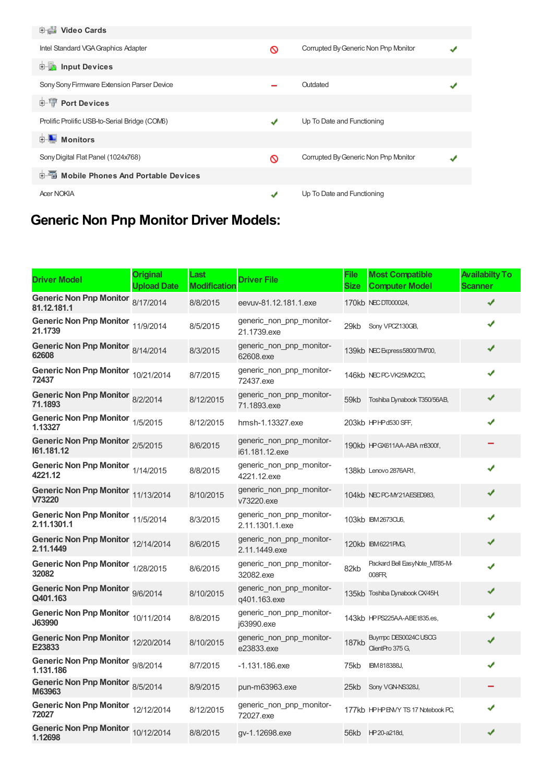| <b>中書 Video Cards</b>                         |   |                                      |  |
|-----------------------------------------------|---|--------------------------------------|--|
| Intel Standard VGA Graphics Adapter           | ര | Corrupted By Generic Non Pnp Monitor |  |
| input Devices                                 |   |                                      |  |
| Sony Sony Firmware Extension Parser Device    |   | Outdated                             |  |
| <b>E-TP</b> Port Devices                      |   |                                      |  |
| Prolific Prolific USB-to-Serial Bridge (COM6) | ✔ | Up To Date and Functioning           |  |
| <b>E</b> Monitors                             |   |                                      |  |
| Sony Digital Flat Panel (1024x768)            | ര | Corrupted By Generic Non Pnp Monitor |  |
| <b>E-Mobile Phones And Portable Devices</b>   |   |                                      |  |
| <b>Acer NOKIA</b>                             |   | Up To Date and Functioning           |  |

# **Generic Non Pnp Monitor Driver Models:**

| <b>Driver Model</b>                              | <b>Original</b><br><b>Upload Date</b> | Last<br><b>Modification</b> | <b>Driver File</b>                          | File<br>Size | <b>Most Compatible</b><br><b>Computer Model</b> | <b>Availabilty To</b><br>Scanner |
|--------------------------------------------------|---------------------------------------|-----------------------------|---------------------------------------------|--------------|-------------------------------------------------|----------------------------------|
| Generic Non Pnp Monitor 8/17/2014<br>81.12.181.1 |                                       | 8/8/2015                    | eevuv-81.12.181.1.exe                       |              | 170kb NEC DT000024,                             | ✔                                |
| <b>Generic Non Pnp Monitor</b><br>21.1739        | 11/9/2014                             | 8/5/2015                    | generic_non_pnp_monitor-<br>21.1739.exe     |              | 29kb Sony VPCZ130GB,                            | ✔                                |
| Generic Non Pnp Monitor 8/14/2014<br>62608       |                                       | 8/3/2015                    | generic_non_pnp_monitor-<br>62608.exe       |              | 139kb NEC Express5800/TM700,                    | ✔                                |
| Generic Non Pnp Monitor 10/21/2014<br>72437      |                                       | 8/7/2015                    | generic_non_pnp_monitor-<br>72437.exe       |              | 146kb NEC PC-VK25MXZCC,                         | ✔                                |
| Generic Non Pnp Monitor 8/2/2014<br>71.1893      |                                       | 8/12/2015                   | generic non pnp monitor-<br>71.1893.exe     | 59kb         | Toshiba Dynabook T350/56AB,                     | ✔                                |
| Generic Non Pnp Monitor 1/5/2015<br>1.13327      |                                       | 8/12/2015                   | hmsh-1.13327.exe                            |              | 203kb HPHPd530 SFF,                             | ✔                                |
| Generic Non Pnp Monitor 2/5/2015<br>161.181.12   |                                       | 8/6/2015                    | generic_non_pnp_monitor-<br>i61.181.12.exe  |              | 190kb HPGX611AA-ABA m8300f,                     |                                  |
| Generic Non Pnp Monitor 1/14/2015<br>4221.12     |                                       | 8/8/2015                    | generic_non_pnp_monitor-<br>4221.12.exe     |              | 138kb Lenovo 2876AR1,                           | ✔                                |
| Generic Non Pnp Monitor 11/13/2014<br>V73220     |                                       | 8/10/2015                   | generic_non_pnp_monitor-<br>v73220.exe      |              | 104kb NEC PC-MY21AESED983,                      | ✔                                |
| Generic Non Pnp Monitor 11/5/2014<br>2.11.1301.1 |                                       | 8/3/2015                    | generic_non_pnp_monitor-<br>2.11.1301.1.exe |              | 103kb IBM2673CU6,                               |                                  |
| Generic Non Pnp Monitor 12/14/2014<br>2.11.1449  |                                       | 8/6/2015                    | generic non pnp monitor-<br>2.11.1449.exe   |              | 120kb IBM6221PMG,                               |                                  |
| Generic Non Pnp Monitor 1/28/2015<br>32082       |                                       | 8/6/2015                    | generic non pnp monitor-<br>32082.exe       | 82kb         | Packard Bell EasyNote_MT85-M-<br>008FR          | J                                |
| Generic Non Pnp Monitor 9/6/2014<br>Q401.163     |                                       | 8/10/2015                   | generic non pnp monitor-<br>q401.163.exe    |              | 135kb Toshiba Dynabook CX/45H,                  | ✔                                |
| Generic Non Pnp Monitor 10/11/2014<br>J63990     |                                       | 8/8/2015                    | generic_non_pnp_monitor-<br>i63990.exe      |              | 143kb HPPS225AA-ABEt835.es,                     | ✔                                |
| Generic Non Pnp Monitor 12/20/2014<br>E23833     |                                       | 8/10/2015                   | generic_non_pnp_monitor-<br>e23833.exe      | <b>187kb</b> | Buympc DES0024C USOG<br>ClientPro 375 G,        | ✔                                |
| Generic Non Pnp Monitor 9/8/2014<br>1.131.186    |                                       | 8/7/2015                    | $-1.131.186$ .exe                           | 75kb         | IBM818388J,                                     | ✔                                |
| Generic Non Pnp Monitor 8/5/2014<br>M63963       |                                       | 8/9/2015                    | pun-m63963.exe                              | 25kb         | Sony VGN-NS328J,                                |                                  |
| Generic Non Pnp Monitor 12/12/2014<br>72027      |                                       | 8/12/2015                   | generic non pnp monitor-<br>72027.exe       |              | 177kb HPHP ENVY TS 17 Notebook PC,              |                                  |
| Generic Non Pnp Monitor 10/12/2014<br>1.12698    |                                       | 8/8/2015                    | qv-1.12698.exe                              |              | 56kb HP20-a218d,                                | ✔                                |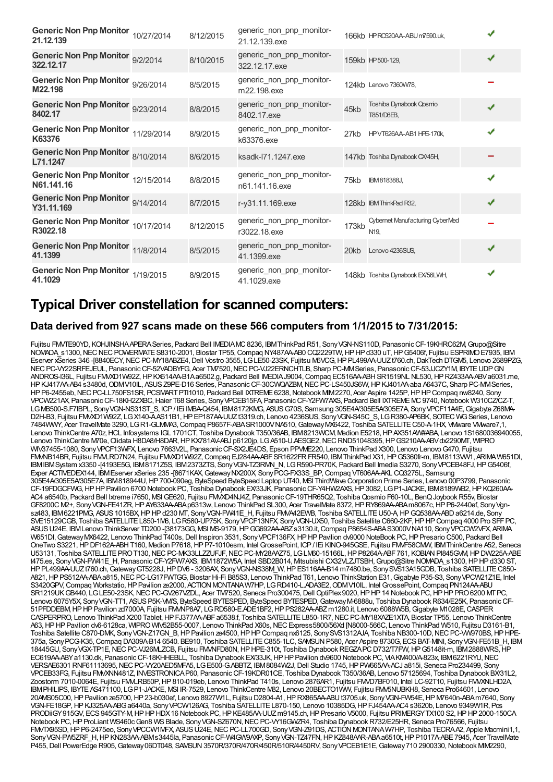| Generic Non Pnp Monitor 10/27/2014<br>21.12.139  | 8/12/2015 | generic non pnp monitor-<br>21.12.139.exe  |       | 166kb HPRC520AA-ABU m7590.uk,                      |   |
|--------------------------------------------------|-----------|--------------------------------------------|-------|----------------------------------------------------|---|
| Generic Non Pnp Monitor 9/2/2014<br>322.12.17    | 8/10/2015 | generic_non_pnp_monitor-<br>322.12.17.exe  |       | 159kb HP500-129,                                   | ✔ |
| Generic Non Pnp Monitor 9/26/2014<br>M22.198     | 8/5/2015  | generic non pnp monitor-<br>m22.198.exe    |       | 124kb Lenovo 7360W78,                              |   |
| Generic Non Pnp Monitor 9/23/2014<br>8402.17     | 8/8/2015  | generic non pnp monitor-<br>8402.17.exe    | 45kb  | Toshiba Dynabook Qosmo<br>T851/D8EB.               | ✔ |
| Generic Non Pnp Monitor 11/29/2014<br>K63376     | 8/9/2015  | generic_non_pnp_monitor-<br>k63376.exe     | 27kb  | HPVT626AA-AB1HPE-170k.                             | ✔ |
| Generic Non Pnp Monitor 8/10/2014<br>L71.1247    | 8/6/2015  | ksadk-l71.1247.exe                         |       | 147kb Toshiba Dynabook CX/45H,                     |   |
| Generic Non Pnp Monitor 12/15/2014<br>N61.141.16 | 8/8/2015  | generic non pnp monitor-<br>n61.141.16.exe | 75kb  | <b>IBM818388J.</b>                                 | √ |
| Generic Non Pnp Monitor 9/14/2014<br>Y31.11.169  | 8/7/2015  | r-y31.11.169.exe                           |       | 128kb IBM ThinkPad R32,                            | ✔ |
| Generic Non Pnp Monitor 10/17/2014<br>R3022.18   | 8/12/2015 | generic_non_pnp_monitor-<br>r3022.18.exe   | 173kb | Cybernet Manufacturing CyberMed<br>N <sub>19</sub> |   |
| Generic Non Pnp Monitor 11/8/2014<br>41.1399     | 8/5/2015  | generic_non_pnp_monitor-<br>41.1399.exe    | 20kb  | Lenovo 4236SUS,                                    | ✔ |
| Generic Non Pnp Monitor 1/19/2015<br>41.1029     | 8/9/2015  | generic non pnp monitor-<br>41.1029.exe    |       | 148kb Toshiba Dynabook EX/56LWH,                   | √ |

### **Typical Driver constellation for scanned computers:**

### **Data derived from 927 scans made on these 566 computers from 1/1/2015 to 7/31/2015:**

Fujitsu FMVTE90YD, KOHJINSHA APERA Series, Packard Bell IMEDIAMC 8236, IBM ThinkPad R51, Sony VGN-NS110D, Panasonic CF-19KHRC62M, Grupo@Sitre NOMADA\_s1300,NECNECPOWERMATES8310-2001, Biostar TP55,Compaq NY487AA-AB0 CQ2229TW,HPHPd330 uT,HPG5406f, Fujitsu ESPRIMOE7935, IBM Eserver xSeries 346-[8840ECY, NEC PC-MY18ABZE4, Dell Vostro 3555, LGLE50-23SK, Fujitsu M6VCG, HP PL499AA-UUZt760.ch, DakTech DTGM5, Lenovo 2689PZG, NECPC-VY22SRFEJEUL, PanasonicCF-52VADBYFG, Acer TM7520,NECPC-VJ22ERNCHTLB, Sharp PC-MMSeries, PanasonicCF-53JJCZY1M, IBYTEUDPGN ANDROS-I36L, Fujitsu FM/XD1W92Z, HP KX614AA-B1Aa6502.g, Packard Bell IMEDIAJ9004, Compaq EC516AA-ABH SR1519NL NL530, HP RZ433AA-ABV a6031.me, HPKJ417AA-AB4 s3480d, ODMV10IL, ASUS Z9PE-D16 Series, Panasonic CF-30CWQAZBM, NEC PC-LS450JS6W, HPKJ401AA-aba A6437C, Sharp PC-MMSeries, HPP6-2455eb, NEC PC-LL750FS1SR, PCSMARTPTI1010, Packard Bell IXTREME 6238, Notebook MIM2270, Acer Aspire 1425P, HP HP Compaq nw8240, Sony VPCW221AX, PanasonicCF-18KH2ZXBC,Haier T68 Series, SonyVPCEB15FA, PanasonicCF-Y2FW7AXS, Packard Bell IXTREMEMC9740,Notebook W310CZ/CZ-T, LGMB500-S.F7IBPL, SonyVGN-NS31ST\_S, ICP/ IEi IMBA-Q454, IBM8172KMG, ASUSG70S, Samsung 305E4A/305E5A/305E7A, SonyVPCF11A4E,Gigabyte Z68MA-D2H-B3, Fujitsu FMVXD1W92Z, LGX140-AAS11B1, HPEP187AA-UUZt3319.ch, Lenovo 4236SUS, Sony VGN-S45C S, LGR380-AP6BK, SOTEC WG Series, Lenovo 7484WWY, Acer TravelMate 3290, LGR1-GLMMA3,Compaq P8657F-ABASR1000VNA510,GatewayMX6422, Toshiba SATELLITEC50-A-1HX, VMware VMware7,1, Lenovo ThinkCentre A70z, HCL Infosystems IGL 1701CT, Toshiba Dynabook T350/36AB, IBM8213WCM, Medion E5218, HP AX351AW#ABA, Lenovo 1S1680036940055, Lenovo ThinkCentre M70e, Olidata H8DA8/H8DAR, HP KX781AV-ABJ p6120jp, LGA510-U.AESGE2, NEC RND51048395, HP GS210AA-ABV dx2290MT, WIPRO WIV37455-1080, Sony VPCF13WFX, Lenovo 7663V2L, Panasonic CF-SX2JE4DS, Epson PPVME220, Lenovo ThinkPad X300, Lenovo Lenovo G470, Fujitsu FMMB14BR, Fujitsu FMLRD7N24, Fujitsu FMXD1W92Z, Compaq EJ284AA-ABF SR1622FR FR540, IBM ThinkPad X31, HP G5360fr-m, IBM8113WV1, ARIMA W651DI, IBMIBMSystem x3350 -[4193E5G, IBM8171Z5S, IBM2373ZTS, SonyVGN-TZ3RMN\_N, LGR590-PR70K, Packard Bell Imedia S3270, SonyVPCEB48FJ,HPG5406f, Exper ACTIVEDEX144, IBMEserver xSeries 235 -[8671KAX,GatewayNX200X, SonyPCG-FX33S\_BP,Compaq VT606AA-AKL CQ3275L, Samsung 305E4A/305E5A/305E7A, IBM818944U,HP700-090eg, ByteSpeed ByteSpeed Laptop UT40, MSI ThirdWave Corporation Prime Series, Lenovo 00P3799, Panasonic CF-19FDGCFWG,HPHPPavilion 6700 Notebook PC, Toshiba Dynabook EX/33JK, PanasonicCF-Y4HW2AXS,HP3082, LGP1-JACKE, IBM8189WB2,HPKQ260AA-AC4 a6540b, Packard Bell Ixtreme i7650, MSIGE620, Fujitsu FMVXD4NJ4Z, PanasonicCF-19THR65Q2, ToshibaQosmio F60-10L, BenQJoybookR55v, Biostar GF8200C M2+, Sony VGN-FE41ZR, HP AY633AA-ABA p6313w, Lenovo ThinkPad SL300, Acer TravelMate 8372, HP RY869AA-ABA m8067c, HP P6-2440ef, Sony Vgnsz483, IBM6221PMG, ASUS 1015BX, HP HP d230 MT, Sony VGN-FW41E\_H, Fujitsu FMVA42EWB, Toshiba SATELLITE U50-A, HP GQ538AA-ABD a6214.de, Sony SVE15129CGB, Toshiba SATELLITEL850-1M6, LGR580-UP75K, SonyVPCF13NFX, SonyVGN-UX50, Toshiba Satellite C660-2KF,HPHPCompaq 4000 Pro SFFPC, ASUS U24E, IBM Lenovo ThinkServer TD200 -[38173GG, MSI MS-9179, HP GG692AA-ABZ s3130.it, Compaq P8654S-ABA S3000V NA110, Sony VPCCW2VFX, ARIMA W651DI, Gateway MX6422, Lenovo ThinkPad T400s, Dell Inspiron 3531, Sony VPCF136FX, HP HP Pavilion dv9000 NoteBook PC, HP Presario C500, Packard Bell OneTwo S3221,HPDF162A-ABHT160, Medion P7618,HPP7-1010esm, Intel GrossePoint, ICP/ IEi KINO-945GSE, Fujitsu FMVF58CMW, IBMThinkCentre A52, Seneca U53131, Toshiba SATELLITEPROT130,NECPC-MK33LLZZUFJF,NECPC-MY28AAZ75, LGLM60-15166L,HPP8264A-ABF761, KOBIANPI845GVM,HPDW225A-ABE t475.es, SonyVGN-FW41E\_H, PanasonicCF-Y2FW7AXS, IBM1872W5A, Intel SBD2B014, Mitsubishi CX32VLZJTSBH,Grupo@Sitre NOMADA\_s1300,HPHPd330 ST, HPPL499AA-UUZt760.ch,GatewayGT5228J,HPDV6 - 3206AX, SonyVGN-NS38M\_W,HPES116AA-B14 m7480.be, SonySVS13A15GDB, Toshiba SATELLITEC850- A821,HPPS512AA-ABAa815,NECPC-LG17FWTGG, Biostar Hi-Fi B85S3, Lenovo ThinkPad T61, Lenovo ThinkStation E31,Gigabyte P35-S3, SonyVPCW21Z1E, Intel S3420GPV, Compaq Workstatio, HP Pavilion ze2000, ACTION MONTANA W7HP, LG RD410-L.ADA3E2, ODMV10IL, Intel GrossePoint, Compaq PN124AA-ABU SR1219UK GB440, LG LE50-23SK, NEC PC-GV267VZDL, Acer TM7520, Seneca Pro300475, Dell OptiPlex 9020, HP HP 14 Notebook PC, HP HP PRO 6200 MT PC, Lenovo 6075Y5X, Sony VGN-TT1, ASUS P5K-VM/S, ByteSpeed BYTESPED, ByteSpeed BYTESPED, Gateway M-6888u, Toshiba Dynabook R634/E25K, Panasonic CF-51PFDDEBM,HPHPPavilion zd7000A, Fujitsu FMVNP8A7, LGRD580-E.ADE1BF2,HPPS282AA-ABZm1280.it, Lenovo 6088W5B,Gigabyte M1028E,CASPER CASPERPRO, Lenovo ThinkPad X200 Tablet, HP FJ377AA-ABF a6538.f, Toshiba SATELLITE L850-1R7, NEC PC-MY18XAZE1XTA, Biostar TP55, Lenovo ThinkCentre A63,HPHPPavilion dv6-6128ca, WIPROWIV52B55-0007, Lenovo ThinkPad X60s,NECExpress5800/56Xd [N8000-566C, Lenovo ThinkPad W510, Fujitsu D3161-B1, Toshiba Satellite C870-DMK, Sony VGN-Z17GN B, HP Pavilion ze4500, HP HP Compaq nx6125, Sony SVS1312AJA, Toshiba NB300-10D, NEC PC-VW970BS, HP HPE-375a, SonyPCG-K35,Compaq DA309A-B14 6540. BE910, Toshiba SATELLITEC855-1LC, SAMSUNP580, Acer Aspire 8730G, ECSBAT-MINI, SonyVGN-FE51B\_H, IBM 18445GU, SonyVGX-TP1E,NECPC-VJ26MLZCB, Fujitsu FMVNFD80N,HPHPE-310t, Toshiba DynabookREGZAPCD732/T7FW,HPG5148it-m, IBM2888WRS,HP EC619AA-ABYa1130.dk, PanasonicCF-18KHHEBLL, Toshiba Dynabook EX/33JK,HPHPPavilion dv9600 Notebook PC, VIAKM400/A-823x, IBM6221RYU,NEC VERSAE6301 RNF61113695,NECPC-VY20AED5MFA5, LGE500-G.ABBTZ, IBM8084W2J,Dell Studio 1745,HPPW665AA-ACJ a815i, Seneca Pro234499, Sony VPCEB33FG, Fujitsu FMVXNN481Z, INVESTRONICAP60, PanasonicCF-19KDR01CE, Toshiba Dynabook T350/36AB, Lenovo 57125694, Toshiba Dynabook BX/31L2, Zoostorm 7010-0064E, Fujitsu FMVLRB50P,HP810-019eb, Lenovo ThinkPad T410s, Lenovo 2876AR1, Fujitsu FMVD7BF010, Intel LC-92T10, Fujitsu FMVXNLHD2A, IBMPHILIPS, IBYTE AS471100, LGP1-JACKE, MSI IR-7529, Lenovo ThinkCentre M82, Lenovo 20BECTO1WW, Fujitsu FMV5NUBKH8, Seneca Pro64601, Lenovo 20AMS05C00,HPPavilion ze5700,HP23-b030ef, Lenovo 8927W1L, Fujitsu D2804-A1,HPRX865AA-ABUt3705.uk, SonyVGN-FW54E,HPM7640n-ABAm7640, Sony VGN-FE18GP,HPKJ325AA-ABGa6440a, SonyVPCW126AG, Toshiba SATELLITEL870-150, Lenovo 10385DG,HPFJ454AA-AC4 s3620b, Lenovo 9349W1R, Pcs PRODiiGY915GV, ECS945GTY-M,HPHPHDX16 Notebook PC,HPKE485AA-UUZm9145.ch,HPPresario V5000, Fujitsu PRIMERGYTX100 S2,HPHP2000-150CA Notebook PC, HP ProLiant WS460c Gen8 WS Blade, Sony VGN-SZ670N, NEC PC-VY16GWZR4, Toshiba Dynabook R732/E25HR, Seneca Pro76566, Fujitsu FM/TX95SD, HP P6-2475eo, Sony VPCCW1MFX, ASUS U24E, NEC PC-LL700GD, Sony VGN-Z91DS, ACTION MONTANAW7HP, Toshiba TECRAA2, Apple Macmini1,1, Sony VGN-FW5ZRF\_H, HP KN283AA-ABMs3445la, Panasonic CF-W4GW9AXP, Sony VGN-TZ47FN, HP KZ848AAR-ABA a6510t, HP P1017A-ABE7945, Acer TravelMate P455, Dell PowerEdge R905, Gateway 06DT048, SAMSUN 3570R/370R/470R/450R/510R/4450RV, Sony VPCEB1E1E, Gateway 710 2900330, Notebook MIM2290,